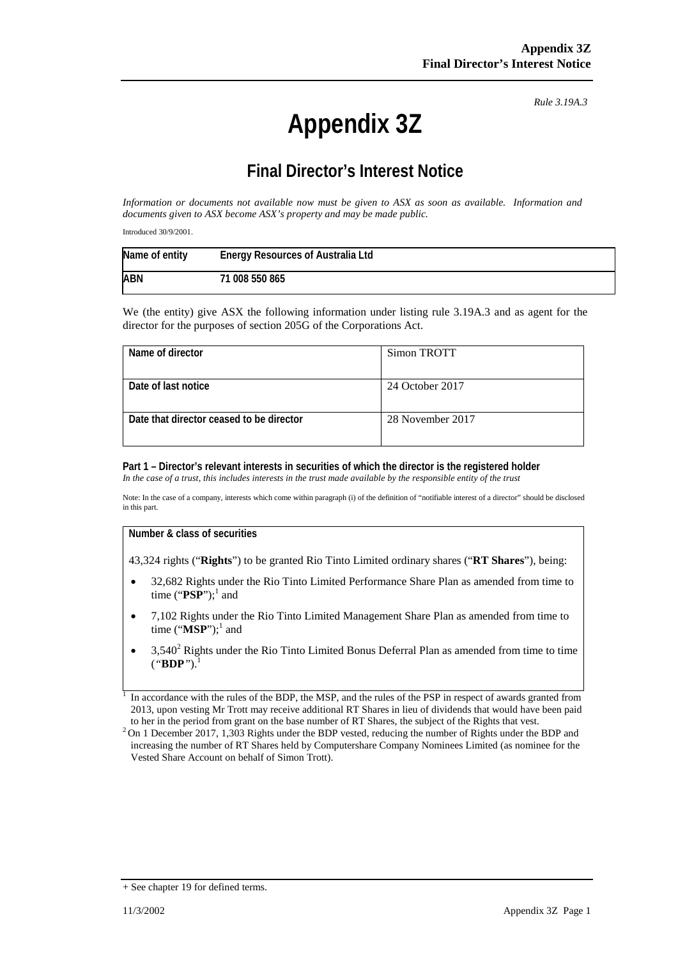# **Appendix 3Z**

*Rule 3.19A.3*

## **Final Director's Interest Notice**

*Information or documents not available now must be given to ASX as soon as available. Information and documents given to ASX become ASX's property and may be made public.*

Introduced 30/9/2001.

| Name of entity | <b>Energy Resources of Australia Ltd</b> |
|----------------|------------------------------------------|
| <b>ABN</b>     | 71 008 550 865                           |

We (the entity) give ASX the following information under listing rule 3.19A.3 and as agent for the director for the purposes of section 205G of the Corporations Act.

| Name of director                         | Simon TROTT      |
|------------------------------------------|------------------|
|                                          |                  |
| Date of last notice                      | 24 October 2017  |
| Date that director ceased to be director | 28 November 2017 |

#### **Part 1 – Director's relevant interests in securities of which the director is the registered holder** *In the case of a trust, this includes interests in the trust made available by the responsible entity of the trust*

Note: In the case of a company, interests which come within paragraph (i) of the definition of "notifiable interest of a director" should be disclosed in this part.

#### **Number & class of securities**

43,324 rights ("**Rights**") to be granted Rio Tinto Limited ordinary shares ("**RT Shares**"), being:

- 32,682 Rights under the Rio Tinto Limited Performance Share Plan as amended from time to time (" $\mathbf{PSP}$ ");<sup>1</sup> and
- 7,102 Rights under the Rio Tinto Limited Management Share Plan as amended from time to time (" $MSP$ ");<sup>1</sup> and
- $3,540<sup>2</sup>$  Rights under the Rio Tinto Limited Bonus Deferral Plan as amended from time to time  $(^{'}BDP'')$ .<sup>1</sup>

<sup>1</sup> In accordance with the rules of the BDP, the MSP, and the rules of the PSP in respect of awards granted from 2013, upon vesting Mr Trott may receive additional RT Shares in lieu of dividends that would have been paid

to her in the period from grant on the base number of RT Shares, the subject of the Rights that vest. 2 On 1 December 2017, 1,303 Rights under the BDP vested, reducing the number of Rights under the BDP and increasing the number of RT Shares held by Computershare Company Nominees Limited (as nominee for the Vested Share Account on behalf of Simon Trott).

<sup>+</sup> See chapter 19 for defined terms.